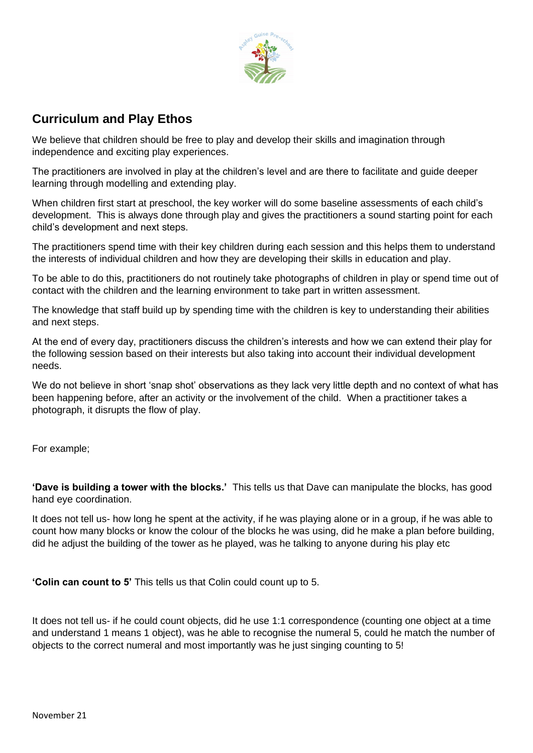

## **Curriculum and Play Ethos**

We believe that children should be free to play and develop their skills and imagination through independence and exciting play experiences.

The practitioners are involved in play at the children's level and are there to facilitate and guide deeper learning through modelling and extending play.

When children first start at preschool, the key worker will do some baseline assessments of each child's development. This is always done through play and gives the practitioners a sound starting point for each child's development and next steps.

The practitioners spend time with their key children during each session and this helps them to understand the interests of individual children and how they are developing their skills in education and play.

To be able to do this, practitioners do not routinely take photographs of children in play or spend time out of contact with the children and the learning environment to take part in written assessment.

The knowledge that staff build up by spending time with the children is key to understanding their abilities and next steps.

At the end of every day, practitioners discuss the children's interests and how we can extend their play for the following session based on their interests but also taking into account their individual development needs.

We do not believe in short 'snap shot' observations as they lack very little depth and no context of what has been happening before, after an activity or the involvement of the child. When a practitioner takes a photograph, it disrupts the flow of play.

For example;

**'Dave is building a tower with the blocks.'** This tells us that Dave can manipulate the blocks, has good hand eye coordination.

It does not tell us- how long he spent at the activity, if he was playing alone or in a group, if he was able to count how many blocks or know the colour of the blocks he was using, did he make a plan before building, did he adjust the building of the tower as he played, was he talking to anyone during his play etc

**'Colin can count to 5'** This tells us that Colin could count up to 5.

It does not tell us- if he could count objects, did he use 1:1 correspondence (counting one object at a time and understand 1 means 1 object), was he able to recognise the numeral 5, could he match the number of objects to the correct numeral and most importantly was he just singing counting to 5!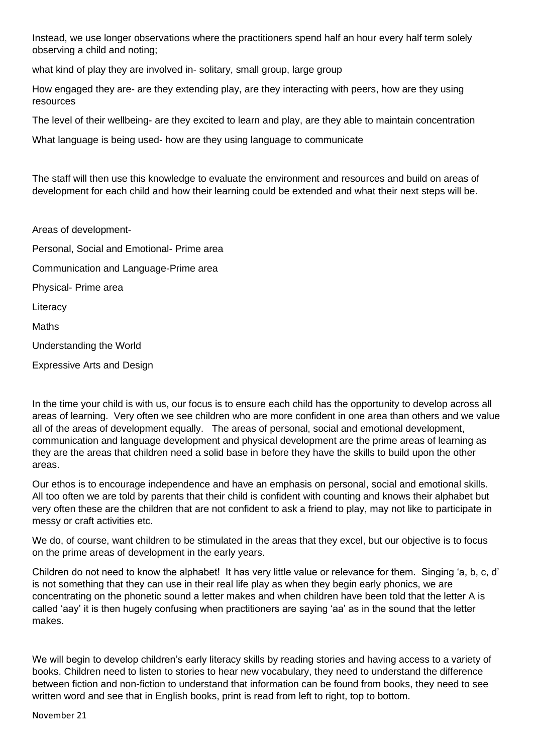Instead, we use longer observations where the practitioners spend half an hour every half term solely observing a child and noting;

what kind of play they are involved in- solitary, small group, large group

How engaged they are- are they extending play, are they interacting with peers, how are they using resources

The level of their wellbeing- are they excited to learn and play, are they able to maintain concentration

What language is being used- how are they using language to communicate

The staff will then use this knowledge to evaluate the environment and resources and build on areas of development for each child and how their learning could be extended and what their next steps will be.

Areas of development-Personal, Social and Emotional- Prime area Communication and Language-Prime area Physical- Prime area **Literacy** Maths Understanding the World Expressive Arts and Design

In the time your child is with us, our focus is to ensure each child has the opportunity to develop across all areas of learning. Very often we see children who are more confident in one area than others and we value all of the areas of development equally. The areas of personal, social and emotional development, communication and language development and physical development are the prime areas of learning as they are the areas that children need a solid base in before they have the skills to build upon the other areas.

Our ethos is to encourage independence and have an emphasis on personal, social and emotional skills. All too often we are told by parents that their child is confident with counting and knows their alphabet but very often these are the children that are not confident to ask a friend to play, may not like to participate in messy or craft activities etc.

We do, of course, want children to be stimulated in the areas that they excel, but our objective is to focus on the prime areas of development in the early years.

Children do not need to know the alphabet! It has very little value or relevance for them. Singing 'a, b, c, d' is not something that they can use in their real life play as when they begin early phonics, we are concentrating on the phonetic sound a letter makes and when children have been told that the letter A is called 'aay' it is then hugely confusing when practitioners are saying 'aa' as in the sound that the letter makes.

We will begin to develop children's early literacy skills by reading stories and having access to a variety of books. Children need to listen to stories to hear new vocabulary, they need to understand the difference between fiction and non-fiction to understand that information can be found from books, they need to see written word and see that in English books, print is read from left to right, top to bottom.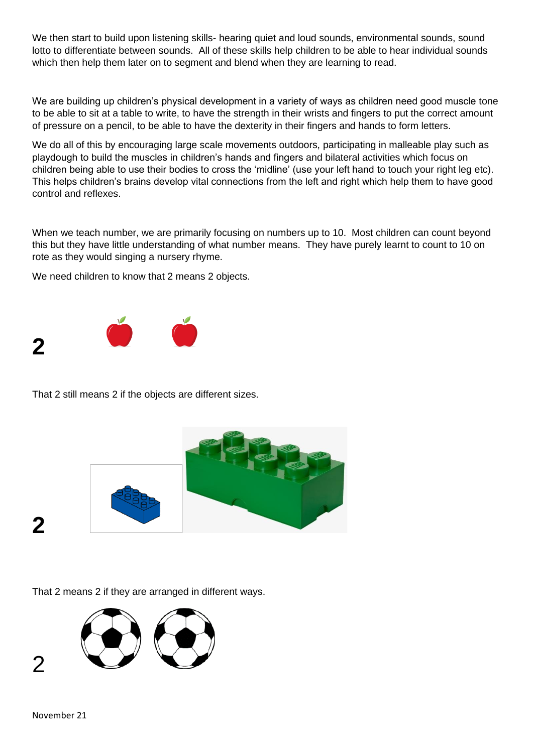We then start to build upon listening skills- hearing quiet and loud sounds, environmental sounds, sound lotto to differentiate between sounds. All of these skills help children to be able to hear individual sounds which then help them later on to segment and blend when they are learning to read.

We are building up children's physical development in a variety of ways as children need good muscle tone to be able to sit at a table to write, to have the strength in their wrists and fingers to put the correct amount of pressure on a pencil, to be able to have the dexterity in their fingers and hands to form letters.

We do all of this by encouraging large scale movements outdoors, participating in malleable play such as playdough to build the muscles in children's hands and fingers and bilateral activities which focus on children being able to use their bodies to cross the 'midline' (use your left hand to touch your right leg etc). This helps children's brains develop vital connections from the left and right which help them to have good control and reflexes.

When we teach number, we are primarily focusing on numbers up to 10. Most children can count beyond this but they have little understanding of what number means. They have purely learnt to count to 10 on rote as they would singing a nursery rhyme.

We need children to know that 2 means 2 objects.



That 2 still means 2 if the objects are different sizes.



That 2 means 2 if they are arranged in different ways.



**2**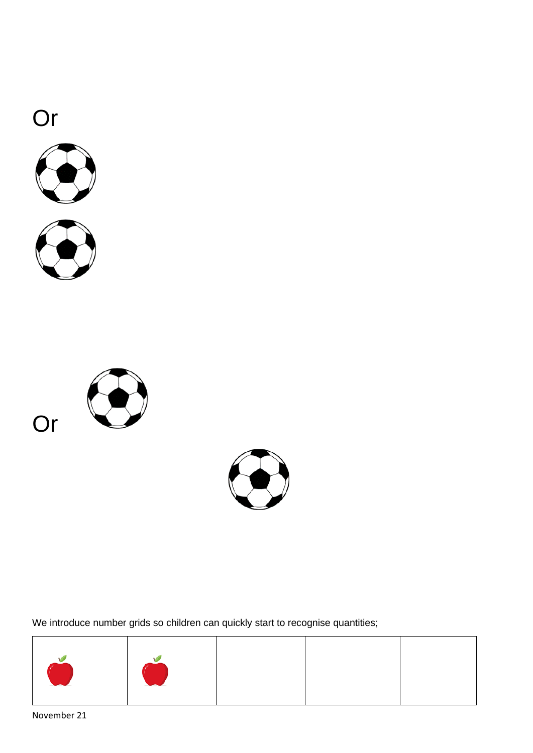







We introduce number grids so children can quickly start to recognise quantities;



November 21